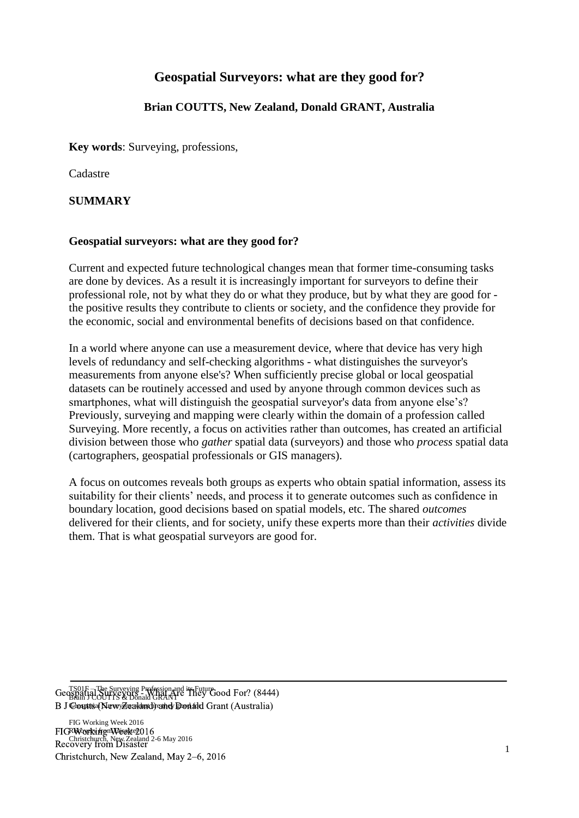# **Geospatial Surveyors: what are they good for?**

## **Brian COUTTS, New Zealand, Donald GRANT, Australia**

**Key words**: Surveying, professions,

Cadastre

#### **SUMMARY**

#### **Geospatial surveyors: what are they good for?**

Current and expected future technological changes mean that former time-consuming tasks are done by devices. As a result it is increasingly important for surveyors to define their professional role, not by what they do or what they produce, but by what they are good for the positive results they contribute to clients or society, and the confidence they provide for the economic, social and environmental benefits of decisions based on that confidence.

In a world where anyone can use a measurement device, where that device has very high levels of redundancy and self-checking algorithms - what distinguishes the surveyor's measurements from anyone else's? When sufficiently precise global or local geospatial datasets can be routinely accessed and used by anyone through common devices such as smartphones, what will distinguish the geospatial surveyor's data from anyone else's? Previously, surveying and mapping were clearly within the domain of a profession called Surveying. More recently, a focus on activities rather than outcomes, has created an artificial division between those who *gather* spatial data (surveyors) and those who *process* spatial data (cartographers, geospatial professionals or GIS managers).

A focus on outcomes reveals both groups as experts who obtain spatial information, assess its suitability for their clients' needs, and process it to generate outcomes such as confidence in boundary location, good decisions based on spatial models, etc. The shared *outcomes*  delivered for their clients, and for society, unify these experts more than their *activities* divide them. That is what geospatial surveyors are good for.

TS01F – The Surveying Profession and its Future Geospatial Surveying Friesson and They Good For? (8444) B J Ceoutts (NewyZealand) and Donald Grant (Australia)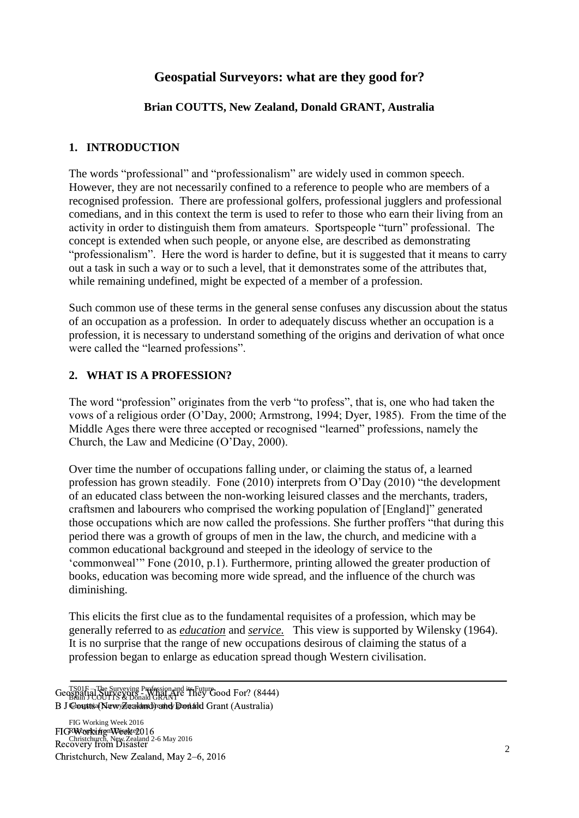# **Geospatial Surveyors: what are they good for?**

## **Brian COUTTS, New Zealand, Donald GRANT, Australia**

#### **1. INTRODUCTION**

The words "professional" and "professionalism" are widely used in common speech. However, they are not necessarily confined to a reference to people who are members of a recognised profession. There are professional golfers, professional jugglers and professional comedians, and in this context the term is used to refer to those who earn their living from an activity in order to distinguish them from amateurs. Sportspeople "turn" professional. The concept is extended when such people, or anyone else, are described as demonstrating "professionalism". Here the word is harder to define, but it is suggested that it means to carry out a task in such a way or to such a level, that it demonstrates some of the attributes that, while remaining undefined, might be expected of a member of a profession.

Such common use of these terms in the general sense confuses any discussion about the status of an occupation as a profession. In order to adequately discuss whether an occupation is a profession, it is necessary to understand something of the origins and derivation of what once were called the "learned professions".

### **2. WHAT IS A PROFESSION?**

The word "profession" originates from the verb "to profess", that is, one who had taken the vows of a religious order (O'Day, 2000; Armstrong, 1994; Dyer, 1985). From the time of the Middle Ages there were three accepted or recognised "learned" professions, namely the Church, the Law and Medicine (O'Day, 2000).

Over time the number of occupations falling under, or claiming the status of, a learned profession has grown steadily. Fone (2010) interprets from O'Day (2010) "the development of an educated class between the non-working leisured classes and the merchants, traders, craftsmen and labourers who comprised the working population of [England]" generated those occupations which are now called the professions. She further proffers "that during this period there was a growth of groups of men in the law, the church, and medicine with a common educational background and steeped in the ideology of service to the 'commonweal'" Fone (2010, p.1). Furthermore, printing allowed the greater production of books, education was becoming more wide spread, and the influence of the church was diminishing.

This elicits the first clue as to the fundamental requisites of a profession, which may be generally referred to as *education* and *service.* This view is supported by Wilensky (1964). It is no surprise that the range of new occupations desirous of claiming the status of a profession began to enlarge as education spread though Western civilisation.

TS01F – The Surveying Profession and its Future Geospatial Surveying Friesson and They Good For? (8444) B J Ceoutts (NewyZealand) and Donald Grant (Australia)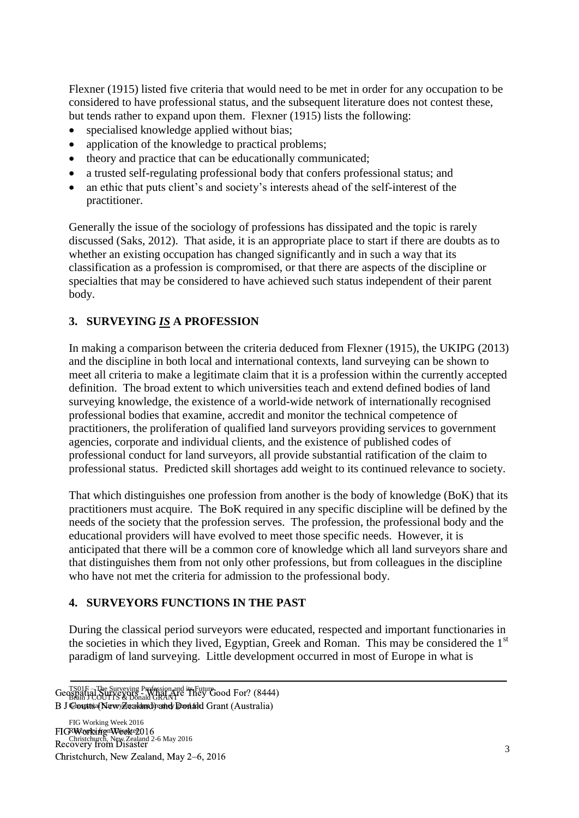Flexner (1915) listed five criteria that would need to be met in order for any occupation to be considered to have professional status, and the subsequent literature does not contest these, but tends rather to expand upon them. Flexner (1915) lists the following:

- specialised knowledge applied without bias;
- application of the knowledge to practical problems;
- theory and practice that can be educationally communicated;
- a trusted self-regulating professional body that confers professional status; and
- an ethic that puts client's and society's interests ahead of the self-interest of the practitioner.

Generally the issue of the sociology of professions has dissipated and the topic is rarely discussed (Saks, 2012). That aside, it is an appropriate place to start if there are doubts as to whether an existing occupation has changed significantly and in such a way that its classification as a profession is compromised, or that there are aspects of the discipline or specialties that may be considered to have achieved such status independent of their parent body.

# **3. SURVEYING** *IS* **A PROFESSION**

In making a comparison between the criteria deduced from Flexner (1915), the UKIPG (2013) and the discipline in both local and international contexts, land surveying can be shown to meet all criteria to make a legitimate claim that it is a profession within the currently accepted definition. The broad extent to which universities teach and extend defined bodies of land surveying knowledge, the existence of a world-wide network of internationally recognised professional bodies that examine, accredit and monitor the technical competence of practitioners, the proliferation of qualified land surveyors providing services to government agencies, corporate and individual clients, and the existence of published codes of professional conduct for land surveyors, all provide substantial ratification of the claim to professional status. Predicted skill shortages add weight to its continued relevance to society.

That which distinguishes one profession from another is the body of knowledge (BoK) that its practitioners must acquire. The BoK required in any specific discipline will be defined by the needs of the society that the profession serves. The profession, the professional body and the educational providers will have evolved to meet those specific needs. However, it is anticipated that there will be a common core of knowledge which all land surveyors share and that distinguishes them from not only other professions, but from colleagues in the discipline who have not met the criteria for admission to the professional body.

## **4. SURVEYORS FUNCTIONS IN THE PAST**

During the classical period surveyors were educated, respected and important functionaries in the societies in which they lived, Egyptian, Greek and Roman. This may be considered the 1<sup>st</sup> paradigm of land surveying. Little development occurred in most of Europe in what is

TS01F – The Surveying Profession and its Future Geospatial Surveying Friesson and They Good For? (8444) B J Ceoutts (NewyZealand) and Donald Grant (Australia)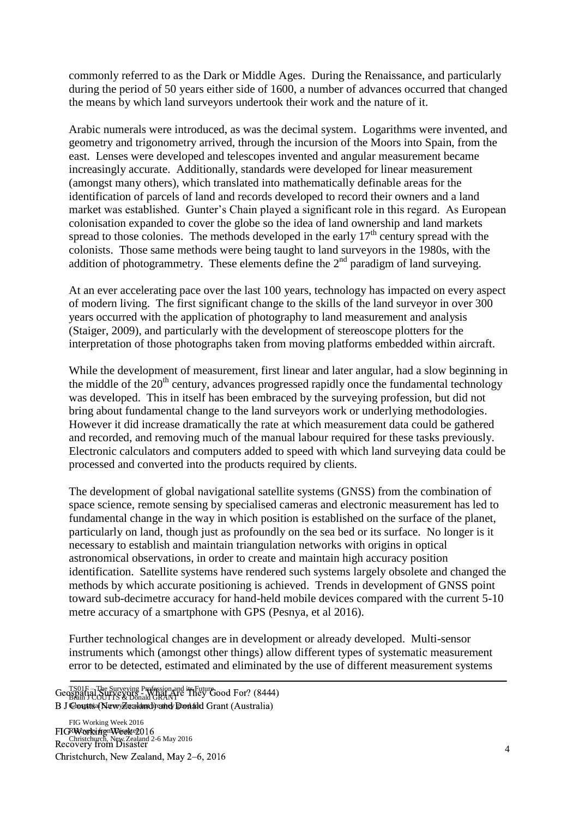commonly referred to as the Dark or Middle Ages. During the Renaissance, and particularly during the period of 50 years either side of 1600, a number of advances occurred that changed the means by which land surveyors undertook their work and the nature of it.

Arabic numerals were introduced, as was the decimal system. Logarithms were invented, and geometry and trigonometry arrived, through the incursion of the Moors into Spain, from the east. Lenses were developed and telescopes invented and angular measurement became increasingly accurate. Additionally, standards were developed for linear measurement (amongst many others), which translated into mathematically definable areas for the identification of parcels of land and records developed to record their owners and a land market was established. Gunter's Chain played a significant role in this regard. As European colonisation expanded to cover the globe so the idea of land ownership and land markets spread to those colonies. The methods developed in the early  $17<sup>th</sup>$  century spread with the colonists. Those same methods were being taught to land surveyors in the 1980s, with the addition of photogrammetry. These elements define the  $2<sup>nd</sup>$  paradigm of land surveying.

At an ever accelerating pace over the last 100 years, technology has impacted on every aspect of modern living. The first significant change to the skills of the land surveyor in over 300 years occurred with the application of photography to land measurement and analysis (Staiger, 2009), and particularly with the development of stereoscope plotters for the interpretation of those photographs taken from moving platforms embedded within aircraft.

While the development of measurement, first linear and later angular, had a slow beginning in the middle of the  $20<sup>th</sup>$  century, advances progressed rapidly once the fundamental technology was developed. This in itself has been embraced by the surveying profession, but did not bring about fundamental change to the land surveyors work or underlying methodologies. However it did increase dramatically the rate at which measurement data could be gathered and recorded, and removing much of the manual labour required for these tasks previously. Electronic calculators and computers added to speed with which land surveying data could be processed and converted into the products required by clients.

The development of global navigational satellite systems (GNSS) from the combination of space science, remote sensing by specialised cameras and electronic measurement has led to fundamental change in the way in which position is established on the surface of the planet, particularly on land, though just as profoundly on the sea bed or its surface. No longer is it necessary to establish and maintain triangulation networks with origins in optical astronomical observations, in order to create and maintain high accuracy position identification. Satellite systems have rendered such systems largely obsolete and changed the methods by which accurate positioning is achieved. Trends in development of GNSS point toward sub-decimetre accuracy for hand-held mobile devices compared with the current 5-10 metre accuracy of a smartphone with GPS (Pesnya, et al 2016).

Further technological changes are in development or already developed. Multi-sensor instruments which (amongst other things) allow different types of systematic measurement error to be detected, estimated and eliminated by the use of different measurement systems

FIG Working Week 2016 RWayeky from Wisakter FIGRWayrkyifrgmWeekte2016<br>D. Christchurch, New Zealand 2-6 May 2016 Recovery from Disaster Christchurch, New Zealand, May 2–6, 2016

TS01F – The Surveying Profession and its Future Geospatial Surveying Friesson and They Good For? (8444) B J Ceoutts (NewyZealand) and Donald Grant (Australia)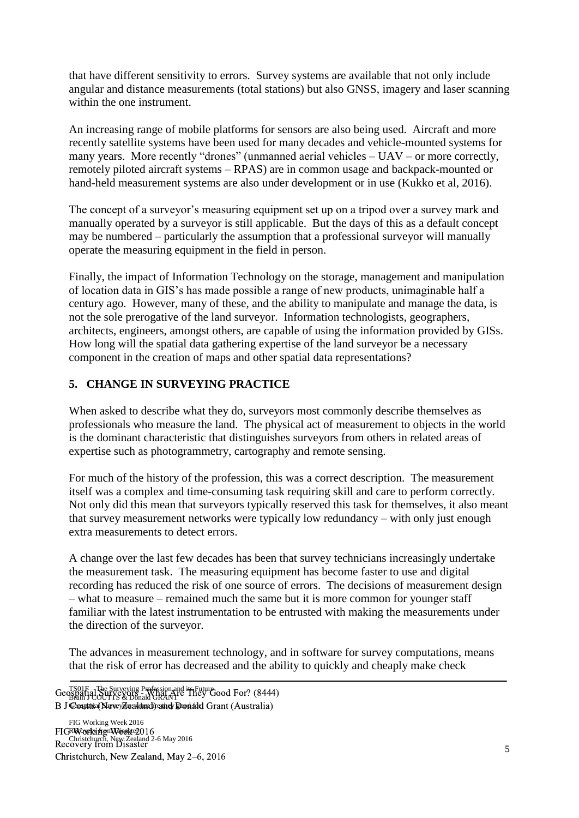that have different sensitivity to errors. Survey systems are available that not only include angular and distance measurements (total stations) but also GNSS, imagery and laser scanning within the one instrument.

An increasing range of mobile platforms for sensors are also being used. Aircraft and more recently satellite systems have been used for many decades and vehicle-mounted systems for many years. More recently "drones" (unmanned aerial vehicles – UAV – or more correctly, remotely piloted aircraft systems – RPAS) are in common usage and backpack-mounted or hand-held measurement systems are also under development or in use (Kukko et al, 2016).

The concept of a surveyor's measuring equipment set up on a tripod over a survey mark and manually operated by a surveyor is still applicable. But the days of this as a default concept may be numbered – particularly the assumption that a professional surveyor will manually operate the measuring equipment in the field in person.

Finally, the impact of Information Technology on the storage, management and manipulation of location data in GIS's has made possible a range of new products, unimaginable half a century ago. However, many of these, and the ability to manipulate and manage the data, is not the sole prerogative of the land surveyor. Information technologists, geographers, architects, engineers, amongst others, are capable of using the information provided by GISs. How long will the spatial data gathering expertise of the land surveyor be a necessary component in the creation of maps and other spatial data representations?

## **5. CHANGE IN SURVEYING PRACTICE**

When asked to describe what they do, surveyors most commonly describe themselves as professionals who measure the land. The physical act of measurement to objects in the world is the dominant characteristic that distinguishes surveyors from others in related areas of expertise such as photogrammetry, cartography and remote sensing.

For much of the history of the profession, this was a correct description. The measurement itself was a complex and time-consuming task requiring skill and care to perform correctly. Not only did this mean that surveyors typically reserved this task for themselves, it also meant that survey measurement networks were typically low redundancy – with only just enough extra measurements to detect errors.

A change over the last few decades has been that survey technicians increasingly undertake the measurement task. The measuring equipment has become faster to use and digital recording has reduced the risk of one source of errors. The decisions of measurement design – what to measure – remained much the same but it is more common for younger staff familiar with the latest instrumentation to be entrusted with making the measurements under the direction of the surveyor.

The advances in measurement technology, and in software for survey computations, means that the risk of error has decreased and the ability to quickly and cheaply make check

FIG Working Week 2016 RWorkifrom Disakel FIGRWayrkyifrgmWeekte2016<br>D. Christchurch, New Zealand 2-6 May 2016 Recovery from Disaster Christchurch, New Zealand, May 2–6, 2016

TS01F – The Surveying Profession and its Future Geospatial Surveying Friesson and They Good For? (8444) B J Ceoutts (NewyZealand) and Donald Grant (Australia)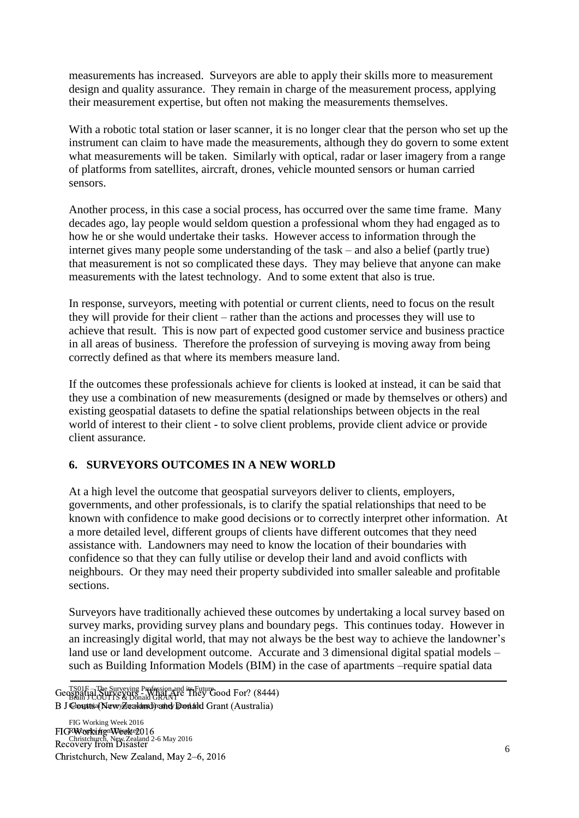measurements has increased. Surveyors are able to apply their skills more to measurement design and quality assurance. They remain in charge of the measurement process, applying their measurement expertise, but often not making the measurements themselves.

With a robotic total station or laser scanner, it is no longer clear that the person who set up the instrument can claim to have made the measurements, although they do govern to some extent what measurements will be taken. Similarly with optical, radar or laser imagery from a range of platforms from satellites, aircraft, drones, vehicle mounted sensors or human carried sensors.

Another process, in this case a social process, has occurred over the same time frame. Many decades ago, lay people would seldom question a professional whom they had engaged as to how he or she would undertake their tasks. However access to information through the internet gives many people some understanding of the task – and also a belief (partly true) that measurement is not so complicated these days. They may believe that anyone can make measurements with the latest technology. And to some extent that also is true.

In response, surveyors, meeting with potential or current clients, need to focus on the result they will provide for their client – rather than the actions and processes they will use to achieve that result. This is now part of expected good customer service and business practice in all areas of business. Therefore the profession of surveying is moving away from being correctly defined as that where its members measure land.

If the outcomes these professionals achieve for clients is looked at instead, it can be said that they use a combination of new measurements (designed or made by themselves or others) and existing geospatial datasets to define the spatial relationships between objects in the real world of interest to their client - to solve client problems, provide client advice or provide client assurance.

## **6. SURVEYORS OUTCOMES IN A NEW WORLD**

At a high level the outcome that geospatial surveyors deliver to clients, employers, governments, and other professionals, is to clarify the spatial relationships that need to be known with confidence to make good decisions or to correctly interpret other information. At a more detailed level, different groups of clients have different outcomes that they need assistance with. Landowners may need to know the location of their boundaries with confidence so that they can fully utilise or develop their land and avoid conflicts with neighbours. Or they may need their property subdivided into smaller saleable and profitable sections.

Surveyors have traditionally achieved these outcomes by undertaking a local survey based on survey marks, providing survey plans and boundary pegs. This continues today. However in an increasingly digital world, that may not always be the best way to achieve the landowner's land use or land development outcome. Accurate and 3 dimensional digital spatial models – such as Building Information Models (BIM) in the case of apartments –require spatial data

TS01F – The Surveying Profession and its Future Geospatial Surveying Friesson and They Good For? (8444) B J Ceoutts (NewyZealand) and Donald Grant (Australia)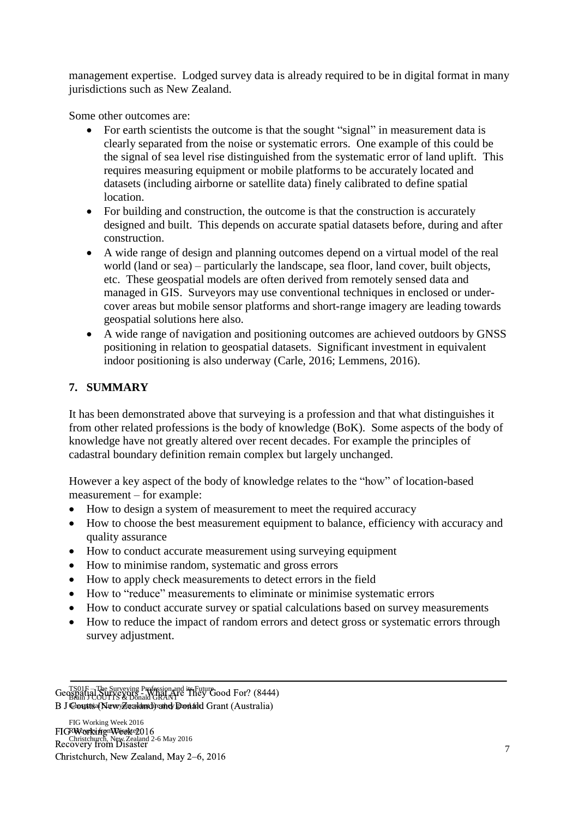management expertise. Lodged survey data is already required to be in digital format in many jurisdictions such as New Zealand.

Some other outcomes are:

- For earth scientists the outcome is that the sought "signal" in measurement data is clearly separated from the noise or systematic errors. One example of this could be the signal of sea level rise distinguished from the systematic error of land uplift. This requires measuring equipment or mobile platforms to be accurately located and datasets (including airborne or satellite data) finely calibrated to define spatial location.
- For building and construction, the outcome is that the construction is accurately designed and built. This depends on accurate spatial datasets before, during and after construction.
- A wide range of design and planning outcomes depend on a virtual model of the real world (land or sea) – particularly the landscape, sea floor, land cover, built objects, etc. These geospatial models are often derived from remotely sensed data and managed in GIS. Surveyors may use conventional techniques in enclosed or undercover areas but mobile sensor platforms and short-range imagery are leading towards geospatial solutions here also.
- A wide range of navigation and positioning outcomes are achieved outdoors by GNSS positioning in relation to geospatial datasets. Significant investment in equivalent indoor positioning is also underway (Carle, 2016; Lemmens, 2016).

# **7. SUMMARY**

It has been demonstrated above that surveying is a profession and that what distinguishes it from other related professions is the body of knowledge (BoK). Some aspects of the body of knowledge have not greatly altered over recent decades. For example the principles of cadastral boundary definition remain complex but largely unchanged.

However a key aspect of the body of knowledge relates to the "how" of location-based measurement – for example:

- How to design a system of measurement to meet the required accuracy
- How to choose the best measurement equipment to balance, efficiency with accuracy and quality assurance
- How to conduct accurate measurement using surveying equipment
- How to minimise random, systematic and gross errors
- How to apply check measurements to detect errors in the field
- How to "reduce" measurements to eliminate or minimise systematic errors
- How to conduct accurate survey or spatial calculations based on survey measurements
- How to reduce the impact of random errors and detect gross or systematic errors through survey adjustment.

TS01F – The Surveying Profession and its Future Geospatial Surveying Friesson and They Good For? (8444) B J Ceoutts (NewyZealand) and Donald Grant (Australia)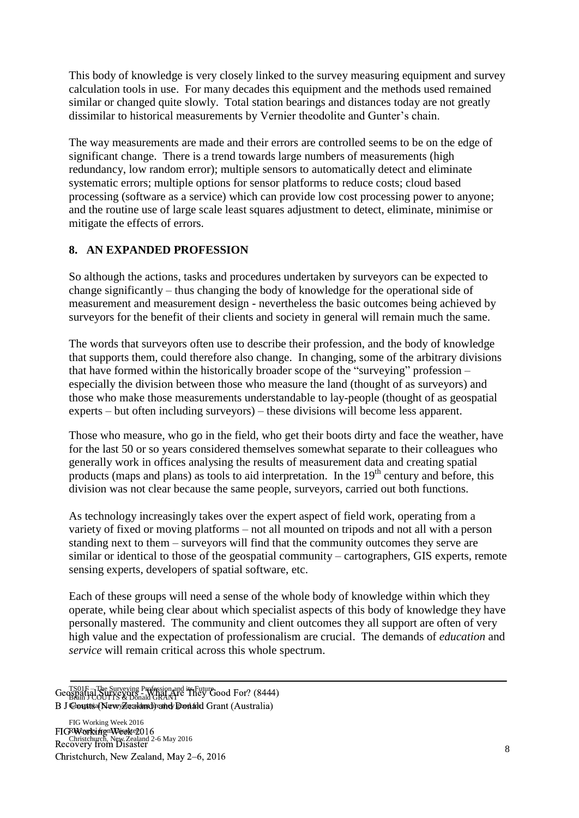This body of knowledge is very closely linked to the survey measuring equipment and survey calculation tools in use. For many decades this equipment and the methods used remained similar or changed quite slowly. Total station bearings and distances today are not greatly dissimilar to historical measurements by Vernier theodolite and Gunter's chain.

The way measurements are made and their errors are controlled seems to be on the edge of significant change. There is a trend towards large numbers of measurements (high redundancy, low random error); multiple sensors to automatically detect and eliminate systematic errors; multiple options for sensor platforms to reduce costs; cloud based processing (software as a service) which can provide low cost processing power to anyone; and the routine use of large scale least squares adjustment to detect, eliminate, minimise or mitigate the effects of errors.

# **8. AN EXPANDED PROFESSION**

So although the actions, tasks and procedures undertaken by surveyors can be expected to change significantly – thus changing the body of knowledge for the operational side of measurement and measurement design - nevertheless the basic outcomes being achieved by surveyors for the benefit of their clients and society in general will remain much the same.

The words that surveyors often use to describe their profession, and the body of knowledge that supports them, could therefore also change. In changing, some of the arbitrary divisions that have formed within the historically broader scope of the "surveying" profession – especially the division between those who measure the land (thought of as surveyors) and those who make those measurements understandable to lay-people (thought of as geospatial experts – but often including surveyors) – these divisions will become less apparent.

Those who measure, who go in the field, who get their boots dirty and face the weather, have for the last 50 or so years considered themselves somewhat separate to their colleagues who generally work in offices analysing the results of measurement data and creating spatial products (maps and plans) as tools to aid interpretation. In the  $19<sup>th</sup>$  century and before, this division was not clear because the same people, surveyors, carried out both functions.

As technology increasingly takes over the expert aspect of field work, operating from a variety of fixed or moving platforms – not all mounted on tripods and not all with a person standing next to them – surveyors will find that the community outcomes they serve are similar or identical to those of the geospatial community – cartographers, GIS experts, remote sensing experts, developers of spatial software, etc.

Each of these groups will need a sense of the whole body of knowledge within which they operate, while being clear about which specialist aspects of this body of knowledge they have personally mastered. The community and client outcomes they all support are often of very high value and the expectation of professionalism are crucial. The demands of *education* and *service* will remain critical across this whole spectrum.

TS01F – The Surveying Profession and its Future Geospatial Surveying Friesson and They Good For? (8444) B J Ceoutts (NewyZealand) and Donald Grant (Australia)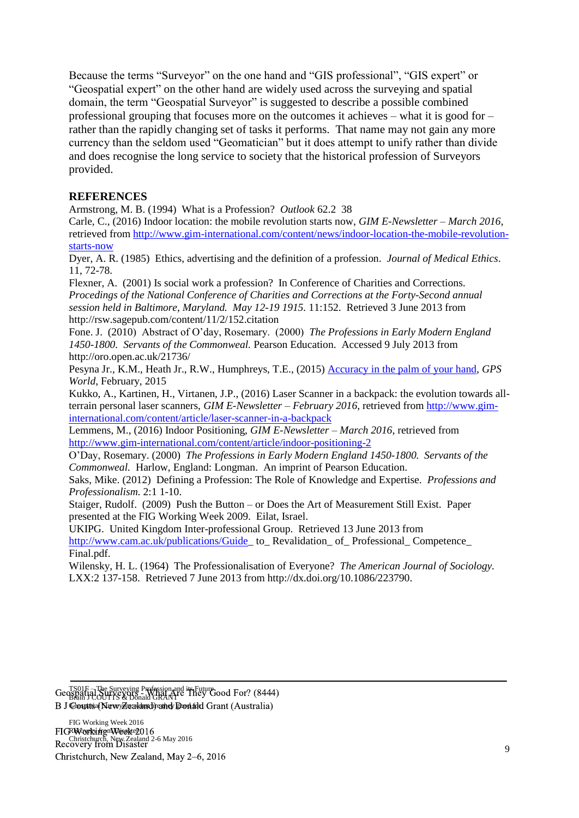Because the terms "Surveyor" on the one hand and "GIS professional", "GIS expert" or "Geospatial expert" on the other hand are widely used across the surveying and spatial domain, the term "Geospatial Surveyor" is suggested to describe a possible combined professional grouping that focuses more on the outcomes it achieves – what it is good for – rather than the rapidly changing set of tasks it performs. That name may not gain any more currency than the seldom used "Geomatician" but it does attempt to unify rather than divide and does recognise the long service to society that the historical profession of Surveyors provided.

#### **REFERENCES**

Armstrong, M. B. (1994) What is a Profession? *Outlook* 62.2 38

Carle, C., (2016) Indoor location: the mobile revolution starts now, *GIM E-Newsletter – March 2016*, retrieved from [http://www.gim-international.com/content/news/indoor-location-the-mobile-revolution](http://www.gim-international.com/content/news/indoor-location-the-mobile-revolution-starts-now)[starts-now](http://www.gim-international.com/content/news/indoor-location-the-mobile-revolution-starts-now)

Dyer, A. R. (1985) Ethics, advertising and the definition of a profession. *Journal of Medical Ethics*. 11, 72-78.

Flexner, A. (2001) Is social work a profession? In Conference of Charities and Corrections. *Procedings of the National Conference of Charities and Corrections at the Forty-Second annual session held in Baltimore, Maryland. May 12-19 1915.* 11:152. Retrieved 3 June 2013 from http://rsw.sagepub.com/content/11/2/152.citation

Fone. J. (2010) Abstract of O'day, Rosemary. (2000) *The Professions in Early Modern England 1450-1800. Servants of the Commonweal.* Pearson Education. Accessed 9 July 2013 from http://oro.open.ac.uk/21736/

Pesyna Jr., K.M., Heath Jr., R.W., Humphreys, T.E., (2015) [Accuracy in the palm of your hand,](http://radionavlab.ae.utexas.edu/images/stories/files/papers/accuracy-in-the-palm-of-your-hand.pdf) *GPS World*, February, 2015

Kukko, A., Kartinen, H., Virtanen, J.P., (2016) Laser Scanner in a backpack: the evolution towards allterrain personal laser scanners, *GIM E-Newsletter – February 2016*, retrieved from [http://www.gim](http://www.gim-international.com/content/article/laser-scanner-in-a-backpack)[international.com/content/article/laser-scanner-in-a-backpack](http://www.gim-international.com/content/article/laser-scanner-in-a-backpack)

Lemmens, M., (2016) Indoor Positioning, *GIM E-Newsletter – March 2016*, retrieved from <http://www.gim-international.com/content/article/indoor-positioning-2>

O'Day, Rosemary. (2000) *The Professions in Early Modern England 1450-1800. Servants of the Commonweal.* Harlow, England: Longman. An imprint of Pearson Education.

Saks, Mike. (2012) Defining a Profession: The Role of Knowledge and Expertise. *Professions and Professionalism.* 2:1 1-10.

Staiger, Rudolf. (2009) Push the Button – or Does the Art of Measurement Still Exist. Paper presented at the FIG Working Week 2009. Eilat, Israel.

UKIPG. United Kingdom Inter-professional Group. Retrieved 13 June 2013 from [http://www.cam.ac.uk/publications/Guide\\_](http://www.cam.ac.uk/publications/Guide) to\_ Revalidation\_ of\_ Professional\_ Competence\_ Final.pdf.

Wilensky, H. L. (1964) The Professionalisation of Everyone? *The American Journal of Sociology.*  LXX:2 137-158. Retrieved 7 June 2013 from http://dx.doi.org/10.1086/223790.

TS01F – The Surveying Profession and its Future Geospatial Surveying Friesson and They Good For? (8444) B J Ceoutts (NewyZealand) and Donald Grant (Australia)